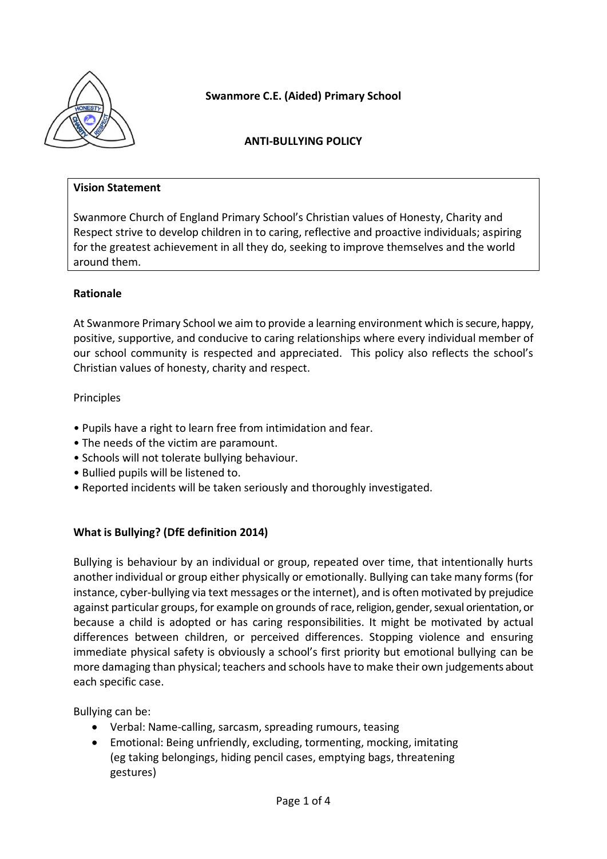

**Swanmore C.E. (Aided) Primary School**

## **ANTI-BULLYING POLICY**

#### **Vision Statement**

Swanmore Church of England Primary School's Christian values of Honesty, Charity and Respect strive to develop children in to caring, reflective and proactive individuals; aspiring for the greatest achievement in all they do, seeking to improve themselves and the world around them.

### **Rationale**

At Swanmore Primary School we aim to provide a learning environment which is secure, happy, positive, supportive, and conducive to caring relationships where every individual member of our school community is respected and appreciated. This policy also reflects the school's Christian values of honesty, charity and respect.

#### Principles

- Pupils have a right to learn free from intimidation and fear.
- The needs of the victim are paramount.
- Schools will not tolerate bullying behaviour.
- Bullied pupils will be listened to.
- Reported incidents will be taken seriously and thoroughly investigated.

### **What is Bullying? (DfE definition 2014)**

Bullying is behaviour by an individual or group, repeated over time, that intentionally hurts another individual or group either physically or emotionally. Bullying can take many forms (for instance, cyber-bullying via text messages or the internet), and is often motivated by prejudice against particular groups, for example on grounds of race, religion, gender, sexual orientation, or because a child is adopted or has caring responsibilities. It might be motivated by actual differences between children, or perceived differences. Stopping violence and ensuring immediate physical safety is obviously a school's first priority but emotional bullying can be more damaging than physical; teachers and schools have to make their own judgements about each specific case.

Bullying can be:

- Verbal: Name-calling, sarcasm, spreading rumours, teasing
- Emotional: Being unfriendly, excluding, tormenting, mocking, imitating (eg taking belongings, hiding pencil cases, emptying bags, threatening gestures)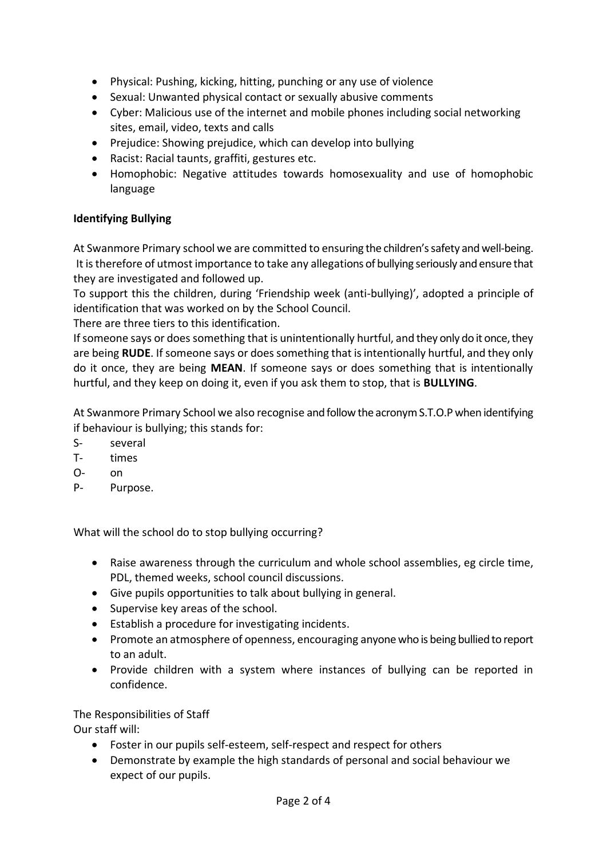- Physical: Pushing, kicking, hitting, punching or any use of violence
- Sexual: Unwanted physical contact or sexually abusive comments
- Cyber: Malicious use of the internet and mobile phones including social networking sites, email, video, texts and calls
- Prejudice: Showing prejudice, which can develop into bullying
- Racist: Racial taunts, graffiti, gestures etc.
- Homophobic: Negative attitudes towards homosexuality and use of homophobic language

# **Identifying Bullying**

At Swanmore Primary school we are committed to ensuring the children's safety and well-being. It is therefore of utmost importance to take any allegations of bullying seriously and ensure that they are investigated and followed up.

To support this the children, during 'Friendship week (anti-bullying)', adopted a principle of identification that was worked on by the School Council.

There are three tiers to this identification.

If someone says or does something that is unintentionally hurtful, and they only do it once, they are being **RUDE**. If someone says or does something that is intentionally hurtful, and they only do it once, they are being **MEAN**. If someone says or does something that is intentionally hurtful, and they keep on doing it, even if you ask them to stop, that is **BULLYING**.

At Swanmore Primary School we also recognise and follow the acronym S.T.O.P when identifying if behaviour is bullying; this stands for:

- S- several
- T- times
- O- on
- P- Purpose.

What will the school do to stop bullying occurring?

- Raise awareness through the curriculum and whole school assemblies, eg circle time, PDL, themed weeks, school council discussions.
- Give pupils opportunities to talk about bullying in general.
- Supervise key areas of the school.
- Establish a procedure for investigating incidents.
- Promote an atmosphere of openness, encouraging anyone who is being bullied to report to an adult.
- Provide children with a system where instances of bullying can be reported in confidence.

# The Responsibilities of Staff

Our staff will:

- Foster in our pupils self-esteem, self-respect and respect for others
- Demonstrate by example the high standards of personal and social behaviour we expect of our pupils.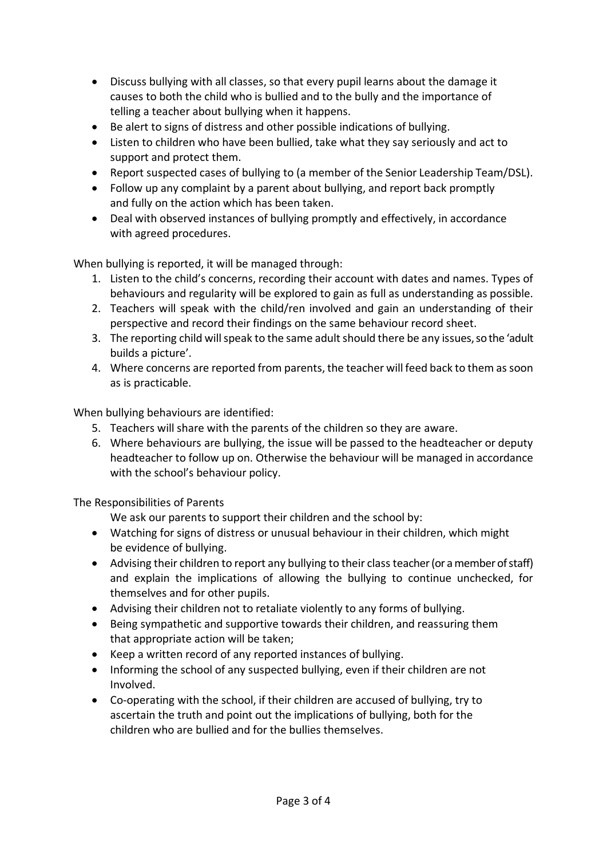- Discuss bullying with all classes, so that every pupil learns about the damage it causes to both the child who is bullied and to the bully and the importance of telling a teacher about bullying when it happens.
- Be alert to signs of distress and other possible indications of bullying.
- Listen to children who have been bullied, take what they say seriously and act to support and protect them.
- Report suspected cases of bullying to (a member of the Senior Leadership Team/DSL).
- Follow up any complaint by a parent about bullying, and report back promptly and fully on the action which has been taken.
- Deal with observed instances of bullying promptly and effectively, in accordance with agreed procedures.

When bullying is reported, it will be managed through:

- 1. Listen to the child's concerns, recording their account with dates and names. Types of behaviours and regularity will be explored to gain as full as understanding as possible.
- 2. Teachers will speak with the child/ren involved and gain an understanding of their perspective and record their findings on the same behaviour record sheet.
- 3. The reporting child will speak to the same adult should there be any issues, so the 'adult builds a picture'.
- 4. Where concerns are reported from parents, the teacher will feed back to them as soon as is practicable.

When bullying behaviours are identified:

- 5. Teachers will share with the parents of the children so they are aware.
- 6. Where behaviours are bullying, the issue will be passed to the headteacher or deputy headteacher to follow up on. Otherwise the behaviour will be managed in accordance with the school's behaviour policy.

The Responsibilities of Parents

We ask our parents to support their children and the school by:

- Watching for signs of distress or unusual behaviour in their children, which might be evidence of bullying.
- Advising their children to report any bullying to their class teacher (or a member of staff) and explain the implications of allowing the bullying to continue unchecked, for themselves and for other pupils.
- Advising their children not to retaliate violently to any forms of bullying.
- Being sympathetic and supportive towards their children, and reassuring them that appropriate action will be taken;
- Keep a written record of any reported instances of bullying.
- Informing the school of any suspected bullying, even if their children are not Involved.
- Co-operating with the school, if their children are accused of bullying, try to ascertain the truth and point out the implications of bullying, both for the children who are bullied and for the bullies themselves.